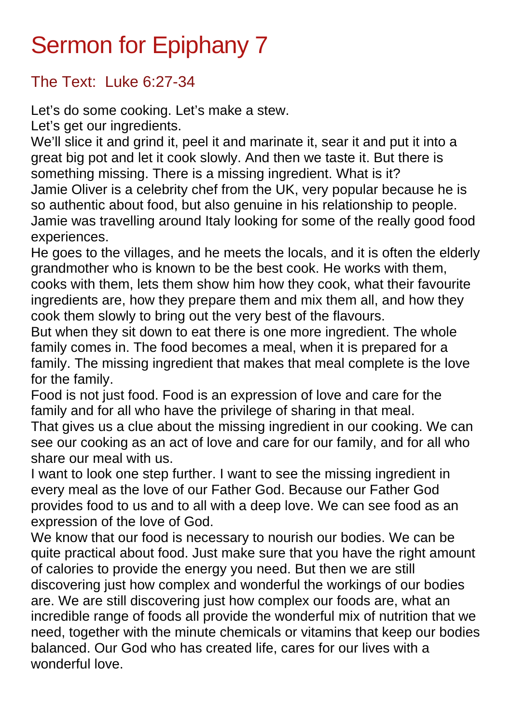## Sermon for Epiphany 7

## The Text: Luke 6:27-34

Let's do some cooking. Let's make a stew.

Let's get our ingredients.

We'll slice it and grind it, peel it and marinate it, sear it and put it into a great big pot and let it cook slowly. And then we taste it. But there is something missing. There is a missing ingredient. What is it? Jamie Oliver is a celebrity chef from the UK, very popular because he is so authentic about food, but also genuine in his relationship to people. Jamie was travelling around Italy looking for some of the really good food experiences.

He goes to the villages, and he meets the locals, and it is often the elderly grandmother who is known to be the best cook. He works with them, cooks with them, lets them show him how they cook, what their favourite ingredients are, how they prepare them and mix them all, and how they cook them slowly to bring out the very best of the flavours.

But when they sit down to eat there is one more ingredient. The whole family comes in. The food becomes a meal, when it is prepared for a family. The missing ingredient that makes that meal complete is the love for the family.

Food is not just food. Food is an expression of love and care for the family and for all who have the privilege of sharing in that meal.

That gives us a clue about the missing ingredient in our cooking. We can see our cooking as an act of love and care for our family, and for all who share our meal with us.

I want to look one step further. I want to see the missing ingredient in every meal as the love of our Father God. Because our Father God provides food to us and to all with a deep love. We can see food as an expression of the love of God.

We know that our food is necessary to nourish our bodies. We can be quite practical about food. Just make sure that you have the right amount of calories to provide the energy you need. But then we are still discovering just how complex and wonderful the workings of our bodies are. We are still discovering just how complex our foods are, what an incredible range of foods all provide the wonderful mix of nutrition that we need, together with the minute chemicals or vitamins that keep our bodies balanced. Our God who has created life, cares for our lives with a wonderful love.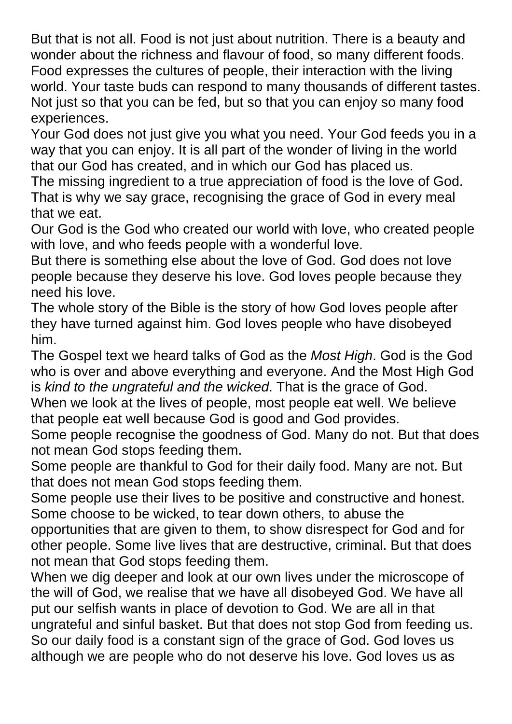But that is not all. Food is not just about nutrition. There is a beauty and wonder about the richness and flavour of food, so many different foods. Food expresses the cultures of people, their interaction with the living world. Your taste buds can respond to many thousands of different tastes. Not just so that you can be fed, but so that you can enjoy so many food experiences.

Your God does not just give you what you need. Your God feeds you in a way that you can enjoy. It is all part of the wonder of living in the world that our God has created, and in which our God has placed us.

The missing ingredient to a true appreciation of food is the love of God. That is why we say grace, recognising the grace of God in every meal that we eat.

Our God is the God who created our world with love, who created people with love, and who feeds people with a wonderful love.

But there is something else about the love of God. God does not love people because they deserve his love. God loves people because they need his love.

The whole story of the Bible is the story of how God loves people after they have turned against him. God loves people who have disobeyed him.

The Gospel text we heard talks of God as the *Most High*. God is the God who is over and above everything and everyone. And the Most High God is *kind to the ungrateful and the wicked*. That is the grace of God. When we look at the lives of people, most people eat well. We believe that people eat well because God is good and God provides.

Some people recognise the goodness of God. Many do not. But that does not mean God stops feeding them.

Some people are thankful to God for their daily food. Many are not. But that does not mean God stops feeding them.

Some people use their lives to be positive and constructive and honest. Some choose to be wicked, to tear down others, to abuse the opportunities that are given to them, to show disrespect for God and for

other people. Some live lives that are destructive, criminal. But that does not mean that God stops feeding them.

When we dig deeper and look at our own lives under the microscope of the will of God, we realise that we have all disobeyed God. We have all put our selfish wants in place of devotion to God. We are all in that ungrateful and sinful basket. But that does not stop God from feeding us. So our daily food is a constant sign of the grace of God. God loves us although we are people who do not deserve his love. God loves us as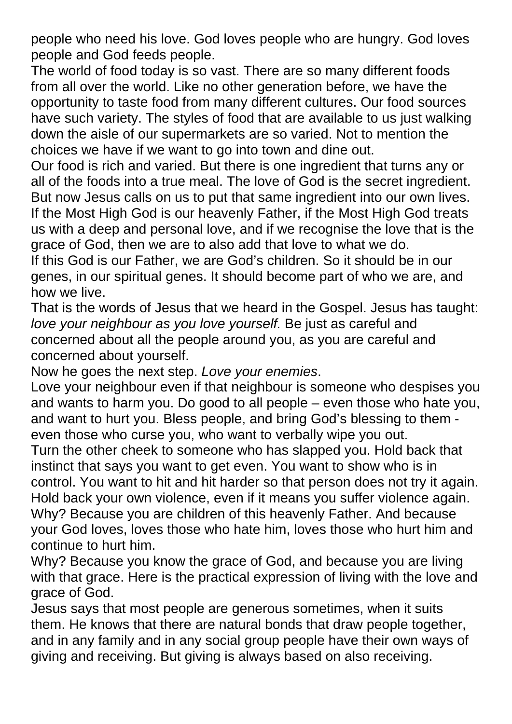people who need his love. God loves people who are hungry. God loves people and God feeds people.

The world of food today is so vast. There are so many different foods from all over the world. Like no other generation before, we have the opportunity to taste food from many different cultures. Our food sources have such variety. The styles of food that are available to us just walking down the aisle of our supermarkets are so varied. Not to mention the choices we have if we want to go into town and dine out.

Our food is rich and varied. But there is one ingredient that turns any or all of the foods into a true meal. The love of God is the secret ingredient. But now Jesus calls on us to put that same ingredient into our own lives. If the Most High God is our heavenly Father, if the Most High God treats us with a deep and personal love, and if we recognise the love that is the grace of God, then we are to also add that love to what we do.

If this God is our Father, we are God's children. So it should be in our genes, in our spiritual genes. It should become part of who we are, and how we live.

That is the words of Jesus that we heard in the Gospel. Jesus has taught: *love your neighbour as you love yourself.* Be just as careful and concerned about all the people around you, as you are careful and concerned about yourself.

Now he goes the next step. *Love your enemies*.

Love your neighbour even if that neighbour is someone who despises you and wants to harm you. Do good to all people – even those who hate you, and want to hurt you. Bless people, and bring God's blessing to them even those who curse you, who want to verbally wipe you out.

Turn the other cheek to someone who has slapped you. Hold back that instinct that says you want to get even. You want to show who is in control. You want to hit and hit harder so that person does not try it again. Hold back your own violence, even if it means you suffer violence again. Why? Because you are children of this heavenly Father. And because your God loves, loves those who hate him, loves those who hurt him and continue to hurt him.

Why? Because you know the grace of God, and because you are living with that grace. Here is the practical expression of living with the love and grace of God.

Jesus says that most people are generous sometimes, when it suits them. He knows that there are natural bonds that draw people together, and in any family and in any social group people have their own ways of giving and receiving. But giving is always based on also receiving.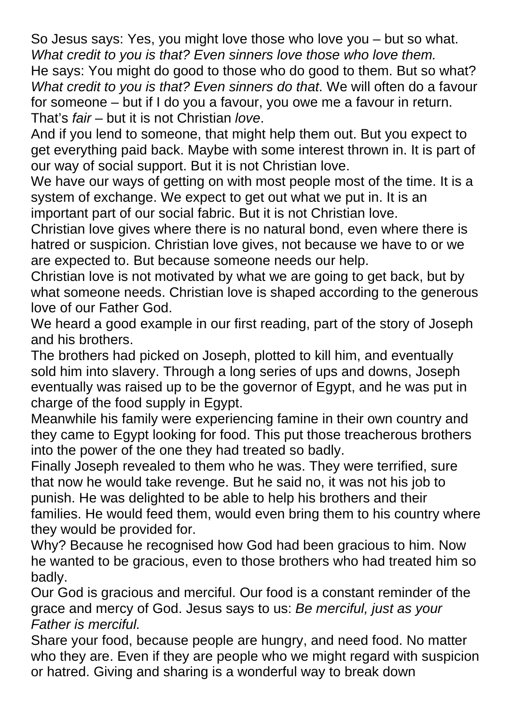So Jesus says: Yes, you might love those who love you – but so what. *What credit to you is that? Even sinners love those who love them.* He says: You might do good to those who do good to them. But so what? *What credit to you is that? Even sinners do that*. We will often do a favour for someone – but if I do you a favour, you owe me a favour in return. That's *fair* – but it is not Christian *love*.

And if you lend to someone, that might help them out. But you expect to get everything paid back. Maybe with some interest thrown in. It is part of our way of social support. But it is not Christian love.

We have our ways of getting on with most people most of the time. It is a system of exchange. We expect to get out what we put in. It is an important part of our social fabric. But it is not Christian love.

Christian love gives where there is no natural bond, even where there is hatred or suspicion. Christian love gives, not because we have to or we are expected to. But because someone needs our help.

Christian love is not motivated by what we are going to get back, but by what someone needs. Christian love is shaped according to the generous love of our Father God.

We heard a good example in our first reading, part of the story of Joseph and his brothers.

The brothers had picked on Joseph, plotted to kill him, and eventually sold him into slavery. Through a long series of ups and downs, Joseph eventually was raised up to be the governor of Egypt, and he was put in charge of the food supply in Egypt.

Meanwhile his family were experiencing famine in their own country and they came to Egypt looking for food. This put those treacherous brothers into the power of the one they had treated so badly.

Finally Joseph revealed to them who he was. They were terrified, sure that now he would take revenge. But he said no, it was not his job to punish. He was delighted to be able to help his brothers and their families. He would feed them, would even bring them to his country where they would be provided for.

Why? Because he recognised how God had been gracious to him. Now he wanted to be gracious, even to those brothers who had treated him so badly.

Our God is gracious and merciful. Our food is a constant reminder of the grace and mercy of God. Jesus says to us: *Be merciful, just as your Father is merciful.* 

Share your food, because people are hungry, and need food. No matter who they are. Even if they are people who we might regard with suspicion or hatred. Giving and sharing is a wonderful way to break down